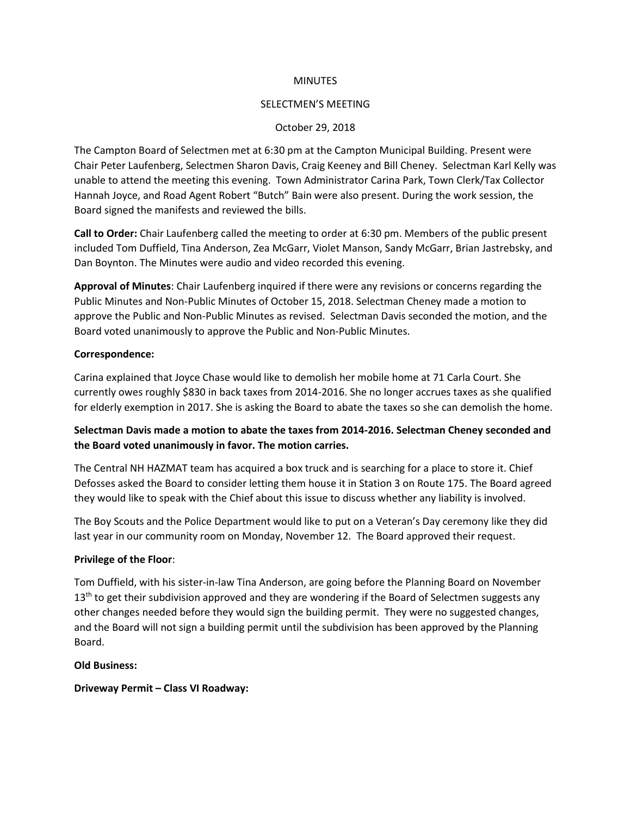#### **MINUTES**

#### SELECTMEN'S MEETING

### October 29, 2018

The Campton Board of Selectmen met at 6:30 pm at the Campton Municipal Building. Present were Chair Peter Laufenberg, Selectmen Sharon Davis, Craig Keeney and Bill Cheney. Selectman Karl Kelly was unable to attend the meeting this evening. Town Administrator Carina Park, Town Clerk/Tax Collector Hannah Joyce, and Road Agent Robert "Butch" Bain were also present. During the work session, the Board signed the manifests and reviewed the bills.

**Call to Order:** Chair Laufenberg called the meeting to order at 6:30 pm. Members of the public present included Tom Duffield, Tina Anderson, Zea McGarr, Violet Manson, Sandy McGarr, Brian Jastrebsky, and Dan Boynton. The Minutes were audio and video recorded this evening.

**Approval of Minutes**: Chair Laufenberg inquired if there were any revisions or concerns regarding the Public Minutes and Non-Public Minutes of October 15, 2018. Selectman Cheney made a motion to approve the Public and Non-Public Minutes as revised. Selectman Davis seconded the motion, and the Board voted unanimously to approve the Public and Non-Public Minutes.

#### **Correspondence:**

Carina explained that Joyce Chase would like to demolish her mobile home at 71 Carla Court. She currently owes roughly \$830 in back taxes from 2014-2016. She no longer accrues taxes as she qualified for elderly exemption in 2017. She is asking the Board to abate the taxes so she can demolish the home.

# **Selectman Davis made a motion to abate the taxes from 2014-2016. Selectman Cheney seconded and the Board voted unanimously in favor. The motion carries.**

The Central NH HAZMAT team has acquired a box truck and is searching for a place to store it. Chief Defosses asked the Board to consider letting them house it in Station 3 on Route 175. The Board agreed they would like to speak with the Chief about this issue to discuss whether any liability is involved.

The Boy Scouts and the Police Department would like to put on a Veteran's Day ceremony like they did last year in our community room on Monday, November 12. The Board approved their request.

# **Privilege of the Floor**:

Tom Duffield, with his sister-in-law Tina Anderson, are going before the Planning Board on November  $13<sup>th</sup>$  to get their subdivision approved and they are wondering if the Board of Selectmen suggests any other changes needed before they would sign the building permit. They were no suggested changes, and the Board will not sign a building permit until the subdivision has been approved by the Planning Board.

#### **Old Business:**

**Driveway Permit – Class VI Roadway:**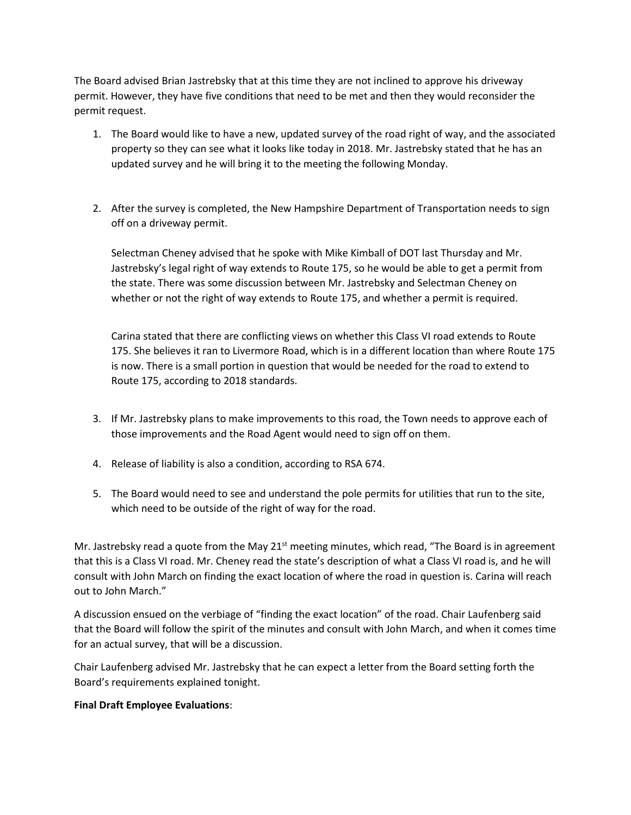The Board advised Brian Jastrebsky that at this time they are not inclined to approve his driveway permit. However, they have five conditions that need to be met and then they would reconsider the permit request.

- 1. The Board would like to have a new, updated survey of the road right of way, and the associated property so they can see what it looks like today in 2018. Mr. Jastrebsky stated that he has an updated survey and he will bring it to the meeting the following Monday.
- 2. After the survey is completed, the New Hampshire Department of Transportation needs to sign off on a driveway permit.

Selectman Cheney advised that he spoke with Mike Kimball of DOT last Thursday and Mr. Jastrebsky's legal right of way extends to Route 175, so he would be able to get a permit from the state. There was some discussion between Mr. Jastrebsky and Selectman Cheney on whether or not the right of way extends to Route 175, and whether a permit is required.

Carina stated that there are conflicting views on whether this Class VI road extends to Route 175. She believes it ran to Livermore Road, which is in a different location than where Route 175 is now. There is a small portion in question that would be needed for the road to extend to Route 175, according to 2018 standards.

- 3. If Mr. Jastrebsky plans to make improvements to this road, the Town needs to approve each of those improvements and the Road Agent would need to sign off on them.
- 4. Release of liability is also a condition, according to RSA 674.
- 5. The Board would need to see and understand the pole permits for utilities that run to the site, which need to be outside of the right of way for the road.

Mr. Jastrebsky read a quote from the May  $21<sup>st</sup>$  meeting minutes, which read, "The Board is in agreement that this is a Class VI road. Mr. Cheney read the state's description of what a Class VI road is, and he will consult with John March on finding the exact location of where the road in question is. Carina will reach out to John March."

A discussion ensued on the verbiage of "finding the exact location" of the road. Chair Laufenberg said that the Board will follow the spirit of the minutes and consult with John March, and when it comes time for an actual survey, that will be a discussion.

Chair Laufenberg advised Mr. Jastrebsky that he can expect a letter from the Board setting forth the Board's requirements explained tonight.

# **Final Draft Employee Evaluations**: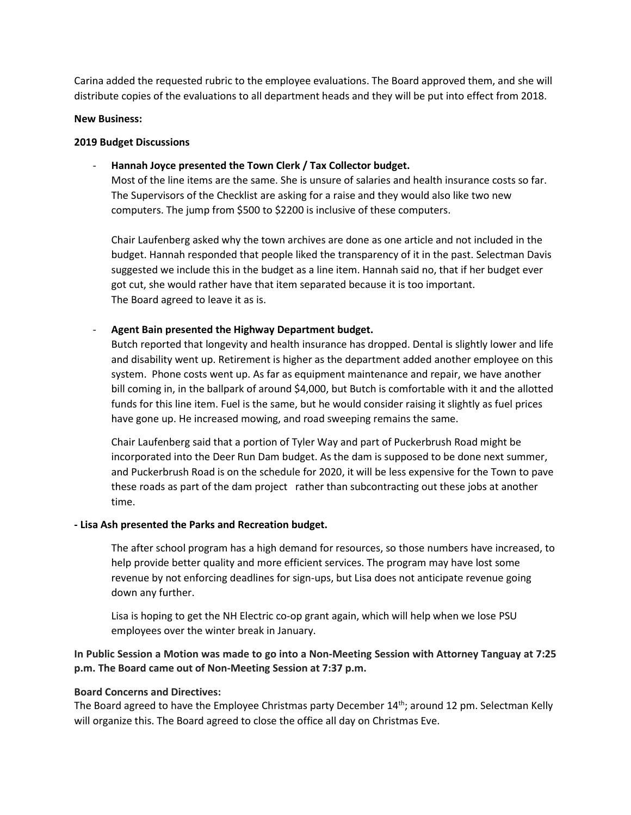Carina added the requested rubric to the employee evaluations. The Board approved them, and she will distribute copies of the evaluations to all department heads and they will be put into effect from 2018.

#### **New Business:**

#### **2019 Budget Discussions**

- **Hannah Joyce presented the Town Clerk / Tax Collector budget.**

Most of the line items are the same. She is unsure of salaries and health insurance costs so far. The Supervisors of the Checklist are asking for a raise and they would also like two new computers. The jump from \$500 to \$2200 is inclusive of these computers.

Chair Laufenberg asked why the town archives are done as one article and not included in the budget. Hannah responded that people liked the transparency of it in the past. Selectman Davis suggested we include this in the budget as a line item. Hannah said no, that if her budget ever got cut, she would rather have that item separated because it is too important. The Board agreed to leave it as is.

# - **Agent Bain presented the Highway Department budget.**

Butch reported that longevity and health insurance has dropped. Dental is slightly lower and life and disability went up. Retirement is higher as the department added another employee on this system. Phone costs went up. As far as equipment maintenance and repair, we have another bill coming in, in the ballpark of around \$4,000, but Butch is comfortable with it and the allotted funds for this line item. Fuel is the same, but he would consider raising it slightly as fuel prices have gone up. He increased mowing, and road sweeping remains the same.

Chair Laufenberg said that a portion of Tyler Way and part of Puckerbrush Road might be incorporated into the Deer Run Dam budget. As the dam is supposed to be done next summer, and Puckerbrush Road is on the schedule for 2020, it will be less expensive for the Town to pave these roads as part of the dam project rather than subcontracting out these jobs at another time.

# **- Lisa Ash presented the Parks and Recreation budget.**

The after school program has a high demand for resources, so those numbers have increased, to help provide better quality and more efficient services. The program may have lost some revenue by not enforcing deadlines for sign-ups, but Lisa does not anticipate revenue going down any further.

Lisa is hoping to get the NH Electric co-op grant again, which will help when we lose PSU employees over the winter break in January.

**In Public Session a Motion was made to go into a Non-Meeting Session with Attorney Tanguay at 7:25 p.m. The Board came out of Non-Meeting Session at 7:37 p.m.**

# **Board Concerns and Directives:**

The Board agreed to have the Employee Christmas party December 14<sup>th</sup>; around 12 pm. Selectman Kelly will organize this. The Board agreed to close the office all day on Christmas Eve.